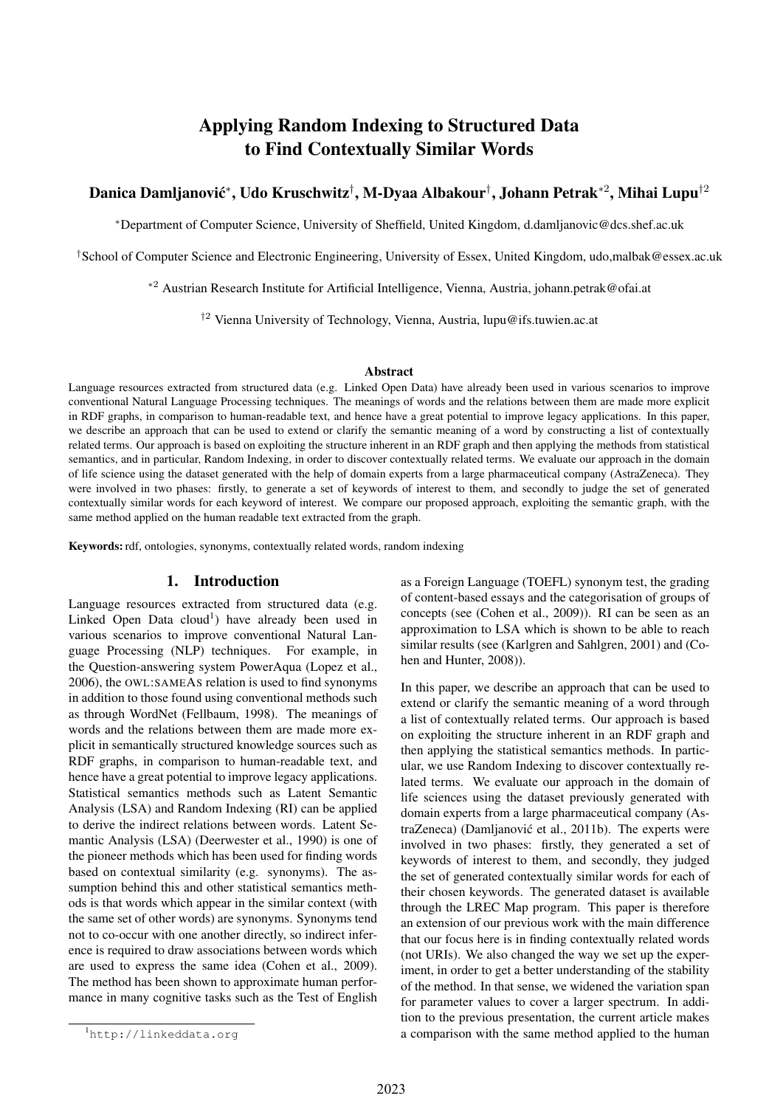# Applying Random Indexing to Structured Data to Find Contextually Similar Words

## Danica Damljanović\*, Udo Kruschwitz†, M-Dyaa Albakour†, Johann Petrak\*<sup>2</sup>, Mihai Lupu<sup>†2</sup>

<sup>∗</sup>Department of Computer Science, University of Sheffield, United Kingdom, d.damljanovic@dcs.shef.ac.uk

†School of Computer Science and Electronic Engineering, University of Essex, United Kingdom, udo,malbak@essex.ac.uk

<sup>∗</sup><sup>2</sup> Austrian Research Institute for Artificial Intelligence, Vienna, Austria, johann.petrak@ofai.at

†<sup>2</sup> Vienna University of Technology, Vienna, Austria, lupu@ifs.tuwien.ac.at

#### Abstract

Language resources extracted from structured data (e.g. Linked Open Data) have already been used in various scenarios to improve conventional Natural Language Processing techniques. The meanings of words and the relations between them are made more explicit in RDF graphs, in comparison to human-readable text, and hence have a great potential to improve legacy applications. In this paper, we describe an approach that can be used to extend or clarify the semantic meaning of a word by constructing a list of contextually related terms. Our approach is based on exploiting the structure inherent in an RDF graph and then applying the methods from statistical semantics, and in particular, Random Indexing, in order to discover contextually related terms. We evaluate our approach in the domain of life science using the dataset generated with the help of domain experts from a large pharmaceutical company (AstraZeneca). They were involved in two phases: firstly, to generate a set of keywords of interest to them, and secondly to judge the set of generated contextually similar words for each keyword of interest. We compare our proposed approach, exploiting the semantic graph, with the same method applied on the human readable text extracted from the graph.

Keywords: rdf, ontologies, synonyms, contextually related words, random indexing

## 1. Introduction

Language resources extracted from structured data (e.g. Linked Open Data cloud<sup>1</sup>) have already been used in various scenarios to improve conventional Natural Language Processing (NLP) techniques. For example, in the Question-answering system PowerAqua (Lopez et al., 2006), the OWL:SAMEAS relation is used to find synonyms in addition to those found using conventional methods such as through WordNet (Fellbaum, 1998). The meanings of words and the relations between them are made more explicit in semantically structured knowledge sources such as RDF graphs, in comparison to human-readable text, and hence have a great potential to improve legacy applications. Statistical semantics methods such as Latent Semantic Analysis (LSA) and Random Indexing (RI) can be applied to derive the indirect relations between words. Latent Semantic Analysis (LSA) (Deerwester et al., 1990) is one of the pioneer methods which has been used for finding words based on contextual similarity (e.g. synonyms). The assumption behind this and other statistical semantics methods is that words which appear in the similar context (with the same set of other words) are synonyms. Synonyms tend not to co-occur with one another directly, so indirect inference is required to draw associations between words which are used to express the same idea (Cohen et al., 2009). The method has been shown to approximate human performance in many cognitive tasks such as the Test of English as a Foreign Language (TOEFL) synonym test, the grading of content-based essays and the categorisation of groups of concepts (see (Cohen et al., 2009)). RI can be seen as an approximation to LSA which is shown to be able to reach similar results (see (Karlgren and Sahlgren, 2001) and (Cohen and Hunter, 2008)).

In this paper, we describe an approach that can be used to extend or clarify the semantic meaning of a word through a list of contextually related terms. Our approach is based on exploiting the structure inherent in an RDF graph and then applying the statistical semantics methods. In particular, we use Random Indexing to discover contextually related terms. We evaluate our approach in the domain of life sciences using the dataset previously generated with domain experts from a large pharmaceutical company (AstraZeneca) (Damljanović et al., 2011b). The experts were involved in two phases: firstly, they generated a set of keywords of interest to them, and secondly, they judged the set of generated contextually similar words for each of their chosen keywords. The generated dataset is available through the LREC Map program. This paper is therefore an extension of our previous work with the main difference that our focus here is in finding contextually related words (not URIs). We also changed the way we set up the experiment, in order to get a better understanding of the stability of the method. In that sense, we widened the variation span for parameter values to cover a larger spectrum. In addition to the previous presentation, the current article makes a comparison with the same method applied to the human

<sup>1</sup>http://linkeddata.org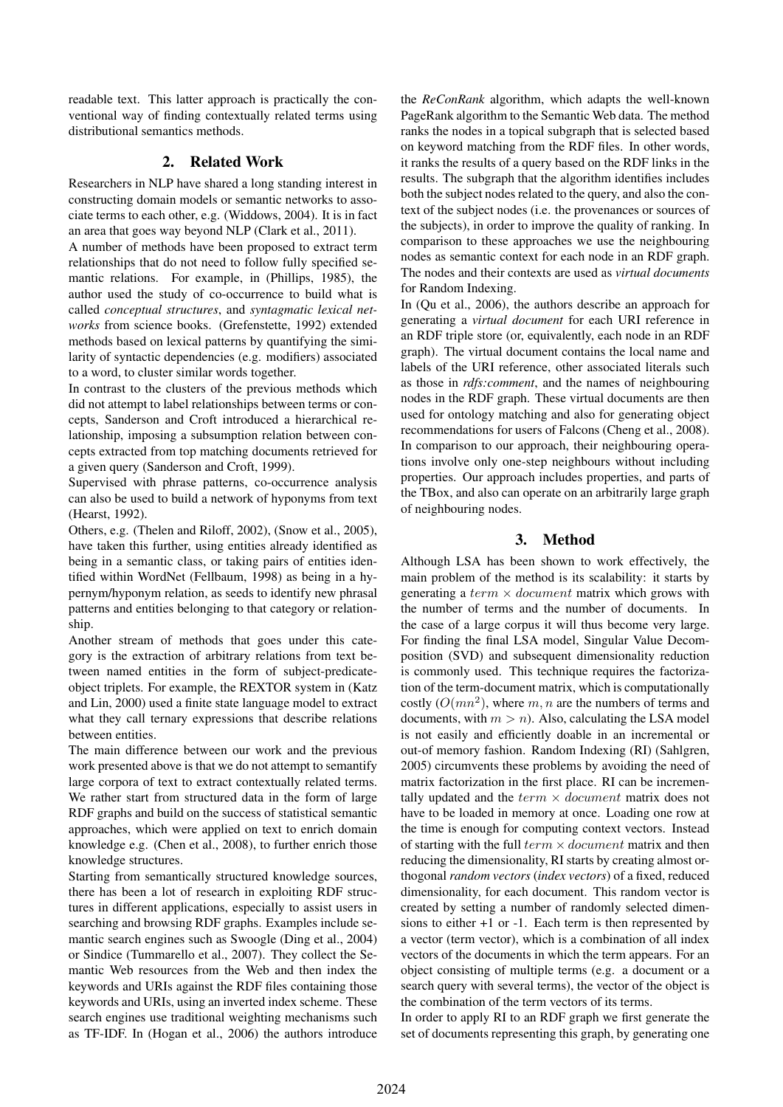readable text. This latter approach is practically the conventional way of finding contextually related terms using distributional semantics methods.

## 2. Related Work

Researchers in NLP have shared a long standing interest in constructing domain models or semantic networks to associate terms to each other, e.g. (Widdows, 2004). It is in fact an area that goes way beyond NLP (Clark et al., 2011).

A number of methods have been proposed to extract term relationships that do not need to follow fully specified semantic relations. For example, in (Phillips, 1985), the author used the study of co-occurrence to build what is called *conceptual structures*, and *syntagmatic lexical networks* from science books. (Grefenstette, 1992) extended methods based on lexical patterns by quantifying the similarity of syntactic dependencies (e.g. modifiers) associated to a word, to cluster similar words together.

In contrast to the clusters of the previous methods which did not attempt to label relationships between terms or concepts, Sanderson and Croft introduced a hierarchical relationship, imposing a subsumption relation between concepts extracted from top matching documents retrieved for a given query (Sanderson and Croft, 1999).

Supervised with phrase patterns, co-occurrence analysis can also be used to build a network of hyponyms from text (Hearst, 1992).

Others, e.g. (Thelen and Riloff, 2002), (Snow et al., 2005), have taken this further, using entities already identified as being in a semantic class, or taking pairs of entities identified within WordNet (Fellbaum, 1998) as being in a hypernym/hyponym relation, as seeds to identify new phrasal patterns and entities belonging to that category or relationship.

Another stream of methods that goes under this category is the extraction of arbitrary relations from text between named entities in the form of subject-predicateobject triplets. For example, the REXTOR system in (Katz and Lin, 2000) used a finite state language model to extract what they call ternary expressions that describe relations between entities.

The main difference between our work and the previous work presented above is that we do not attempt to semantify large corpora of text to extract contextually related terms. We rather start from structured data in the form of large RDF graphs and build on the success of statistical semantic approaches, which were applied on text to enrich domain knowledge e.g. (Chen et al., 2008), to further enrich those knowledge structures.

Starting from semantically structured knowledge sources, there has been a lot of research in exploiting RDF structures in different applications, especially to assist users in searching and browsing RDF graphs. Examples include semantic search engines such as Swoogle (Ding et al., 2004) or Sindice (Tummarello et al., 2007). They collect the Semantic Web resources from the Web and then index the keywords and URIs against the RDF files containing those keywords and URIs, using an inverted index scheme. These search engines use traditional weighting mechanisms such as TF-IDF. In (Hogan et al., 2006) the authors introduce the *ReConRank* algorithm, which adapts the well-known PageRank algorithm to the Semantic Web data. The method ranks the nodes in a topical subgraph that is selected based on keyword matching from the RDF files. In other words, it ranks the results of a query based on the RDF links in the results. The subgraph that the algorithm identifies includes both the subject nodes related to the query, and also the context of the subject nodes (i.e. the provenances or sources of the subjects), in order to improve the quality of ranking. In comparison to these approaches we use the neighbouring nodes as semantic context for each node in an RDF graph. The nodes and their contexts are used as *virtual documents* for Random Indexing.

In (Qu et al., 2006), the authors describe an approach for generating a *virtual document* for each URI reference in an RDF triple store (or, equivalently, each node in an RDF graph). The virtual document contains the local name and labels of the URI reference, other associated literals such as those in *rdfs:comment*, and the names of neighbouring nodes in the RDF graph. These virtual documents are then used for ontology matching and also for generating object recommendations for users of Falcons (Cheng et al., 2008). In comparison to our approach, their neighbouring operations involve only one-step neighbours without including properties. Our approach includes properties, and parts of the TBox, and also can operate on an arbitrarily large graph of neighbouring nodes.

## 3. Method

Although LSA has been shown to work effectively, the main problem of the method is its scalability: it starts by generating a term  $\times$  document matrix which grows with the number of terms and the number of documents. In the case of a large corpus it will thus become very large. For finding the final LSA model, Singular Value Decomposition (SVD) and subsequent dimensionality reduction is commonly used. This technique requires the factorization of the term-document matrix, which is computationally costly  $(O(mn^2))$ , where m, n are the numbers of terms and documents, with  $m > n$ ). Also, calculating the LSA model is not easily and efficiently doable in an incremental or out-of memory fashion. Random Indexing (RI) (Sahlgren, 2005) circumvents these problems by avoiding the need of matrix factorization in the first place. RI can be incrementally updated and the  $term \times document$  matrix does not have to be loaded in memory at once. Loading one row at the time is enough for computing context vectors. Instead of starting with the full  $term \times document$  matrix and then reducing the dimensionality, RI starts by creating almost orthogonal *random vectors* (*index vectors*) of a fixed, reduced dimensionality, for each document. This random vector is created by setting a number of randomly selected dimensions to either +1 or -1. Each term is then represented by a vector (term vector), which is a combination of all index vectors of the documents in which the term appears. For an object consisting of multiple terms (e.g. a document or a search query with several terms), the vector of the object is the combination of the term vectors of its terms.

In order to apply RI to an RDF graph we first generate the set of documents representing this graph, by generating one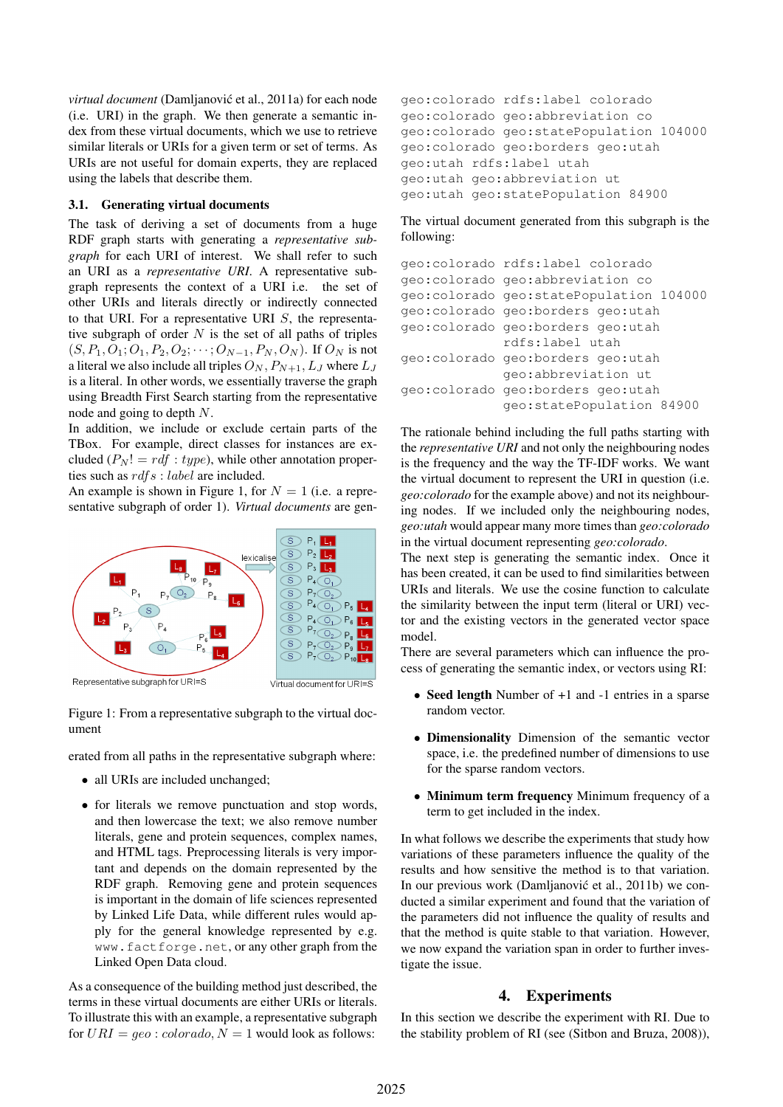*virtual document* (Damljanović et al., 2011a) for each node (i.e. URI) in the graph. We then generate a semantic index from these virtual documents, which we use to retrieve similar literals or URIs for a given term or set of terms. As URIs are not useful for domain experts, they are replaced using the labels that describe them.

#### 3.1. Generating virtual documents

The task of deriving a set of documents from a huge RDF graph starts with generating a *representative subgraph* for each URI of interest. We shall refer to such an URI as a *representative URI*. A representative subgraph represents the context of a URI i.e. the set of other URIs and literals directly or indirectly connected to that URI. For a representative URI  $S$ , the representative subgraph of order  $N$  is the set of all paths of triples  $(S, P_1, O_1; O_1, P_2, O_2; \dots; O_{N-1}, P_N, O_N)$ . If  $O_N$  is not a literal we also include all triples  $O_N$ ,  $P_{N+1}$ ,  $L_J$  where  $L_J$ is a literal. In other words, we essentially traverse the graph using Breadth First Search starting from the representative node and going to depth N.

In addition, we include or exclude certain parts of the TBox. For example, direct classes for instances are excluded  $(P_N! = rdf : type)$ , while other annotation properties such as  $rdfs: label$  are included.

An example is shown in Figure 1, for  $N = 1$  (i.e. a representative subgraph of order 1). *Virtual documents* are gen-



Figure 1: From a representative subgraph to the virtual document

erated from all paths in the representative subgraph where:

- all URIs are included unchanged;
- for literals we remove punctuation and stop words, and then lowercase the text; we also remove number literals, gene and protein sequences, complex names, and HTML tags. Preprocessing literals is very important and depends on the domain represented by the RDF graph. Removing gene and protein sequences is important in the domain of life sciences represented by Linked Life Data, while different rules would apply for the general knowledge represented by e.g. www.factforge.net, or any other graph from the Linked Open Data cloud.

As a consequence of the building method just described, the terms in these virtual documents are either URIs or literals. To illustrate this with an example, a representative subgraph for  $URI = geo : colorado, N = 1$  would look as follows:

```
geo:colorado rdfs:label colorado
geo:colorado geo:abbreviation co
geo:colorado geo:statePopulation 104000
geo:colorado geo:borders geo:utah
geo:utah rdfs:label utah
geo:utah geo:abbreviation ut
geo:utah geo:statePopulation 84900
```
The virtual document generated from this subgraph is the following:

```
geo:colorado rdfs:label colorado
geo:colorado geo:abbreviation co
geo:colorado geo:statePopulation 104000
geo:colorado geo:borders geo:utah
geo:colorado geo:borders geo:utah
             rdfs:label utah
geo:colorado geo:borders geo:utah
             geo:abbreviation ut
geo:colorado geo:borders geo:utah
             geo:statePopulation 84900
```
The rationale behind including the full paths starting with the *representative URI* and not only the neighbouring nodes is the frequency and the way the TF-IDF works. We want the virtual document to represent the URI in question (i.e. *geo:colorado* for the example above) and not its neighbouring nodes. If we included only the neighbouring nodes, *geo:utah* would appear many more times than *geo:colorado* in the virtual document representing *geo:colorado*.

The next step is generating the semantic index. Once it has been created, it can be used to find similarities between URIs and literals. We use the cosine function to calculate the similarity between the input term (literal or URI) vector and the existing vectors in the generated vector space model.

There are several parameters which can influence the process of generating the semantic index, or vectors using RI:

- Seed length Number of +1 and -1 entries in a sparse random vector.
- Dimensionality Dimension of the semantic vector space, i.e. the predefined number of dimensions to use for the sparse random vectors.
- Minimum term frequency Minimum frequency of a term to get included in the index.

In what follows we describe the experiments that study how variations of these parameters influence the quality of the results and how sensitive the method is to that variation. In our previous work (Damljanović et al., 2011b) we conducted a similar experiment and found that the variation of the parameters did not influence the quality of results and that the method is quite stable to that variation. However, we now expand the variation span in order to further investigate the issue.

#### 4. Experiments

In this section we describe the experiment with RI. Due to the stability problem of RI (see (Sitbon and Bruza, 2008)),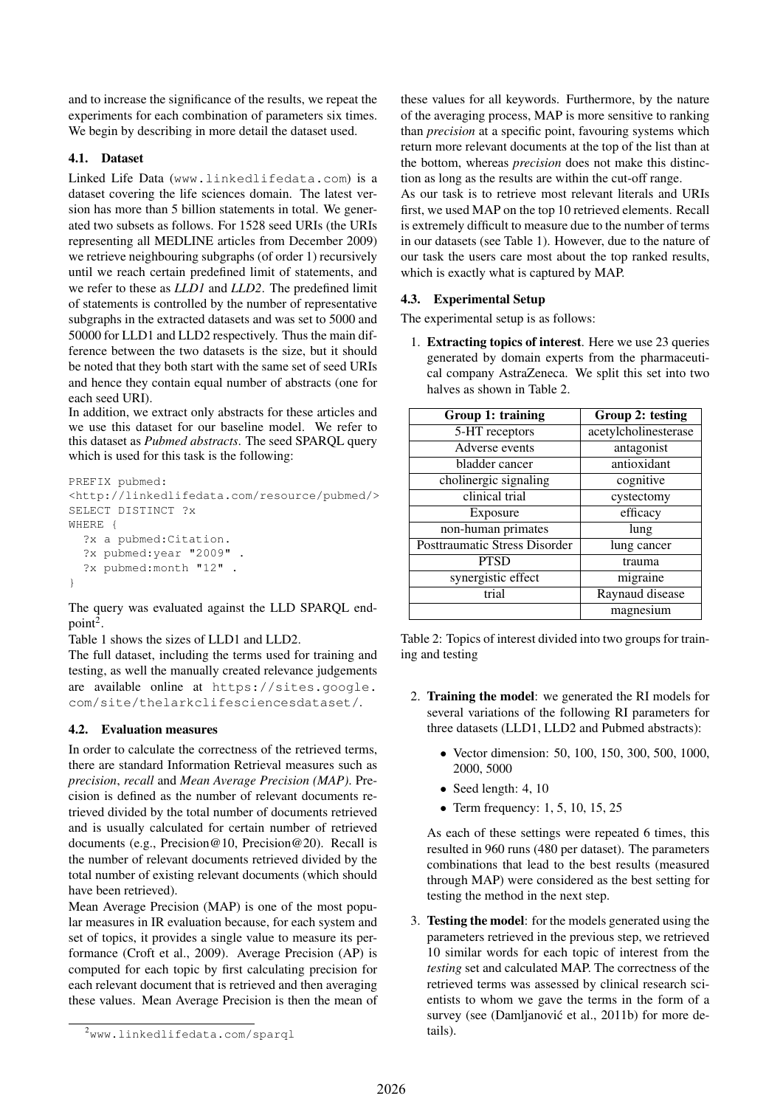and to increase the significance of the results, we repeat the experiments for each combination of parameters six times. We begin by describing in more detail the dataset used.

## 4.1. Dataset

Linked Life Data (www.linkedlifedata.com) is a dataset covering the life sciences domain. The latest version has more than 5 billion statements in total. We generated two subsets as follows. For 1528 seed URIs (the URIs representing all MEDLINE articles from December 2009) we retrieve neighbouring subgraphs (of order 1) recursively until we reach certain predefined limit of statements, and we refer to these as *LLD1* and *LLD2*. The predefined limit of statements is controlled by the number of representative subgraphs in the extracted datasets and was set to 5000 and 50000 for LLD1 and LLD2 respectively. Thus the main difference between the two datasets is the size, but it should be noted that they both start with the same set of seed URIs and hence they contain equal number of abstracts (one for each seed URI).

In addition, we extract only abstracts for these articles and we use this dataset for our baseline model. We refer to this dataset as *Pubmed abstracts*. The seed SPARQL query which is used for this task is the following:

```
PREFIX pubmed:
<http://linkedlifedata.com/resource/pubmed/>
SELECT DISTINCT ?x
WHERE {
  ?x a pubmed:Citation.
  ?x pubmed:year "2009"
  ?x pubmed:month "12" .
}
```
The query was evaluated against the LLD SPARQL end $point<sup>2</sup>$ .

Table 1 shows the sizes of LLD1 and LLD2.

The full dataset, including the terms used for training and testing, as well the manually created relevance judgements are available online at https://sites.google. com/site/thelarkclifesciencesdataset/.

## 4.2. Evaluation measures

In order to calculate the correctness of the retrieved terms, there are standard Information Retrieval measures such as *precision*, *recall* and *Mean Average Precision (MAP)*. Precision is defined as the number of relevant documents retrieved divided by the total number of documents retrieved and is usually calculated for certain number of retrieved documents (e.g., Precision@10, Precision@20). Recall is the number of relevant documents retrieved divided by the total number of existing relevant documents (which should have been retrieved).

Mean Average Precision (MAP) is one of the most popular measures in IR evaluation because, for each system and set of topics, it provides a single value to measure its performance (Croft et al., 2009). Average Precision (AP) is computed for each topic by first calculating precision for each relevant document that is retrieved and then averaging these values. Mean Average Precision is then the mean of these values for all keywords. Furthermore, by the nature of the averaging process, MAP is more sensitive to ranking than *precision* at a specific point, favouring systems which return more relevant documents at the top of the list than at the bottom, whereas *precision* does not make this distinction as long as the results are within the cut-off range.

As our task is to retrieve most relevant literals and URIs first, we used MAP on the top 10 retrieved elements. Recall is extremely difficult to measure due to the number of terms in our datasets (see Table 1). However, due to the nature of our task the users care most about the top ranked results, which is exactly what is captured by MAP.

## 4.3. Experimental Setup

The experimental setup is as follows:

1. Extracting topics of interest. Here we use 23 queries generated by domain experts from the pharmaceutical company AstraZeneca. We split this set into two halves as shown in Table 2.

| Group 1: training             | Group 2: testing     |
|-------------------------------|----------------------|
| 5-HT receptors                | acetylcholinesterase |
| Adverse events                | antagonist           |
| bladder cancer                | antioxidant          |
| cholinergic signaling         | cognitive            |
| clinical trial                | cystectomy           |
| Exposure                      | efficacy             |
| non-human primates            | lung                 |
| Posttraumatic Stress Disorder | lung cancer          |
| <b>PTSD</b>                   | trauma               |
| synergistic effect            | migraine             |
| trial                         | Raynaud disease      |
|                               | magnesium            |

Table 2: Topics of interest divided into two groups for training and testing

- 2. Training the model: we generated the RI models for several variations of the following RI parameters for three datasets (LLD1, LLD2 and Pubmed abstracts):
	- Vector dimension: 50, 100, 150, 300, 500, 1000, 2000, 5000
	- Seed length: 4, 10
	- Term frequency:  $1, 5, 10, 15, 25$

As each of these settings were repeated 6 times, this resulted in 960 runs (480 per dataset). The parameters combinations that lead to the best results (measured through MAP) were considered as the best setting for testing the method in the next step.

3. Testing the model: for the models generated using the parameters retrieved in the previous step, we retrieved 10 similar words for each topic of interest from the *testing* set and calculated MAP. The correctness of the retrieved terms was assessed by clinical research scientists to whom we gave the terms in the form of a survey (see (Damljanović et al., 2011b) for more details).

<sup>2</sup>www.linkedlifedata.com/sparql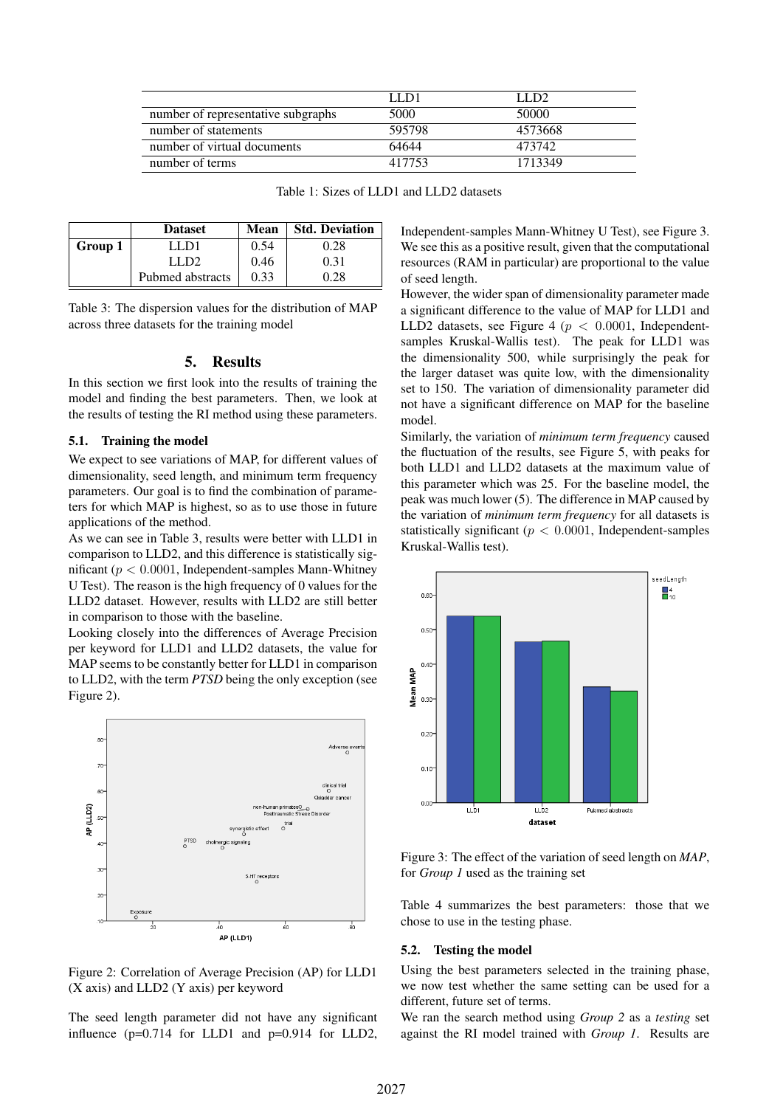|                                    | LL D1  | LLD2    |
|------------------------------------|--------|---------|
| number of representative subgraphs | 5000   | 50000   |
| number of statements               | 595798 | 4573668 |
| number of virtual documents        | 64644  | 473742  |
| number of terms                    | 417753 | 1713349 |

| Table 1: Sizes of LLD1 and LLD2 datasets |  |
|------------------------------------------|--|
|------------------------------------------|--|

|         | <b>Dataset</b>   | Mean | <b>Std. Deviation</b> |
|---------|------------------|------|-----------------------|
| Group 1 | LL D1            | 0.54 | 0.28                  |
|         | LLD2             | 0.46 | 0.31                  |
|         | Pubmed abstracts | 0.33 | 0.28                  |

Table 3: The dispersion values for the distribution of MAP across three datasets for the training model

#### 5. Results

In this section we first look into the results of training the model and finding the best parameters. Then, we look at the results of testing the RI method using these parameters.

#### 5.1. Training the model

We expect to see variations of MAP, for different values of dimensionality, seed length, and minimum term frequency parameters. Our goal is to find the combination of parameters for which MAP is highest, so as to use those in future applications of the method.

As we can see in Table 3, results were better with LLD1 in comparison to LLD2, and this difference is statistically significant ( $p < 0.0001$ , Independent-samples Mann-Whitney U Test). The reason is the high frequency of 0 values for the LLD2 dataset. However, results with LLD2 are still better in comparison to those with the baseline.

Looking closely into the differences of Average Precision per keyword for LLD1 and LLD2 datasets, the value for MAP seems to be constantly better for LLD1 in comparison to LLD2, with the term *PTSD* being the only exception (see Figure 2).



Figure 2: Correlation of Average Precision (AP) for LLD1 (X axis) and LLD2 (Y axis) per keyword

The seed length parameter did not have any significant influence (p=0.714 for LLD1 and p=0.914 for LLD2,

Independent-samples Mann-Whitney U Test), see Figure 3. We see this as a positive result, given that the computational resources (RAM in particular) are proportional to the value of seed length.

However, the wider span of dimensionality parameter made a significant difference to the value of MAP for LLD1 and LLD2 datasets, see Figure 4 ( $p < 0.0001$ , Independentsamples Kruskal-Wallis test). The peak for LLD1 was the dimensionality 500, while surprisingly the peak for the larger dataset was quite low, with the dimensionality set to 150. The variation of dimensionality parameter did not have a significant difference on MAP for the baseline model.

Similarly, the variation of *minimum term frequency* caused the fluctuation of the results, see Figure 5, with peaks for both LLD1 and LLD2 datasets at the maximum value of this parameter which was 25. For the baseline model, the peak was much lower (5). The difference in MAP caused by the variation of *minimum term frequency* for all datasets is statistically significant ( $p < 0.0001$ , Independent-samples Kruskal-Wallis test).



Figure 3: The effect of the variation of seed length on *MAP*, for *Group 1* used as the training set

Table 4 summarizes the best parameters: those that we chose to use in the testing phase.

#### 5.2. Testing the model

Using the best parameters selected in the training phase, we now test whether the same setting can be used for a different, future set of terms.

We ran the search method using *Group 2* as a *testing* set against the RI model trained with *Group 1*. Results are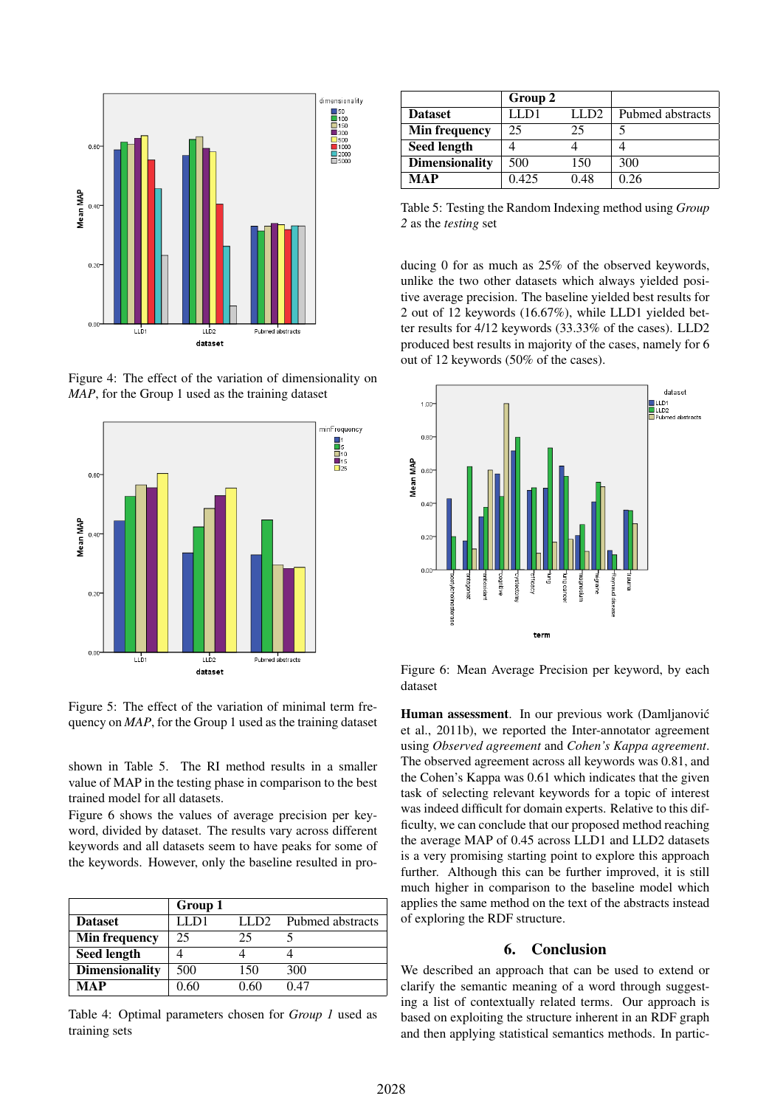

Figure 4: The effect of the variation of dimensionality on *MAP*, for the Group 1 used as the training dataset



Figure 5: The effect of the variation of minimal term frequency on *MAP*, for the Group 1 used as the training dataset

shown in Table 5. The RI method results in a smaller value of MAP in the testing phase in comparison to the best trained model for all datasets.

Figure 6 shows the values of average precision per keyword, divided by dataset. The results vary across different keywords and all datasets seem to have peaks for some of the keywords. However, only the baseline resulted in pro-

|                       | Group 1 |       |                  |
|-----------------------|---------|-------|------------------|
| <b>Dataset</b>        | LL D1   | LLD2. | Pubmed abstracts |
| <b>Min frequency</b>  | 25      | 25    |                  |
| <b>Seed length</b>    |         |       |                  |
| <b>Dimensionality</b> | 500     | 150   | 300              |
| MAP                   | 0 60    | 0 60  | በ 47             |

Table 4: Optimal parameters chosen for *Group 1* used as training sets

|                       | Group 2 |       |                  |
|-----------------------|---------|-------|------------------|
| <b>Dataset</b>        | (LD)    | 11.D2 | Pubmed abstracts |
| Min frequency         | 25      | 25    |                  |
| <b>Seed length</b>    |         |       |                  |
| <b>Dimensionality</b> | 500     | 150   | 300              |
| <b>MAP</b>            | 0.425   | 0.48  | 0.26             |

Table 5: Testing the Random Indexing method using *Group 2* as the *testing* set

ducing 0 for as much as 25% of the observed keywords, unlike the two other datasets which always yielded positive average precision. The baseline yielded best results for 2 out of 12 keywords (16.67%), while LLD1 yielded better results for 4/12 keywords (33.33% of the cases). LLD2 produced best results in majority of the cases, namely for 6 out of 12 keywords (50% of the cases).



Figure 6: Mean Average Precision per keyword, by each dataset

Human assessment. In our previous work (Damljanović et al., 2011b), we reported the Inter-annotator agreement using *Observed agreement* and *Cohen's Kappa agreement*. The observed agreement across all keywords was 0.81, and the Cohen's Kappa was 0.61 which indicates that the given task of selecting relevant keywords for a topic of interest was indeed difficult for domain experts. Relative to this difficulty, we can conclude that our proposed method reaching the average MAP of 0.45 across LLD1 and LLD2 datasets is a very promising starting point to explore this approach further. Although this can be further improved, it is still much higher in comparison to the baseline model which applies the same method on the text of the abstracts instead of exploring the RDF structure.

#### 6. Conclusion

We described an approach that can be used to extend or clarify the semantic meaning of a word through suggesting a list of contextually related terms. Our approach is based on exploiting the structure inherent in an RDF graph and then applying statistical semantics methods. In partic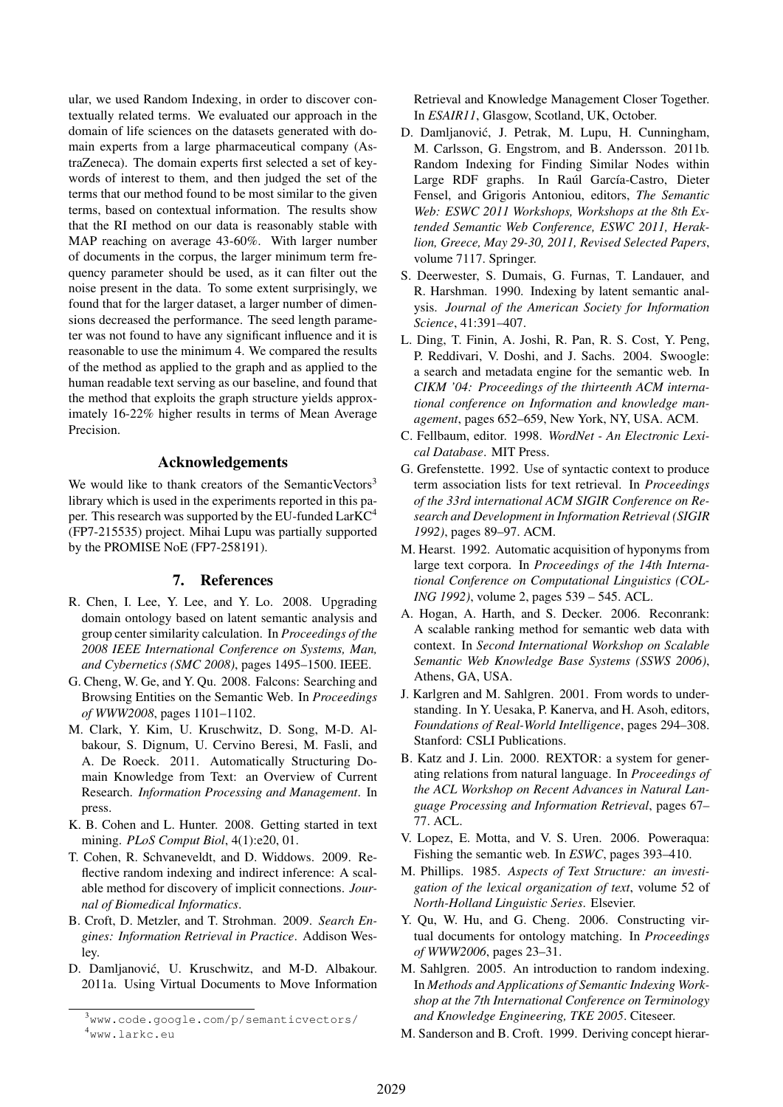ular, we used Random Indexing, in order to discover contextually related terms. We evaluated our approach in the domain of life sciences on the datasets generated with domain experts from a large pharmaceutical company (AstraZeneca). The domain experts first selected a set of keywords of interest to them, and then judged the set of the terms that our method found to be most similar to the given terms, based on contextual information. The results show that the RI method on our data is reasonably stable with MAP reaching on average 43-60%. With larger number of documents in the corpus, the larger minimum term frequency parameter should be used, as it can filter out the noise present in the data. To some extent surprisingly, we found that for the larger dataset, a larger number of dimensions decreased the performance. The seed length parameter was not found to have any significant influence and it is reasonable to use the minimum 4. We compared the results of the method as applied to the graph and as applied to the human readable text serving as our baseline, and found that the method that exploits the graph structure yields approximately 16-22% higher results in terms of Mean Average Precision.

## Acknowledgements

We would like to thank creators of the SemanticVectors<sup>3</sup> library which is used in the experiments reported in this paper. This research was supported by the EU-funded LarKC<sup>4</sup> (FP7-215535) project. Mihai Lupu was partially supported by the PROMISE NoE (FP7-258191).

### 7. References

- R. Chen, I. Lee, Y. Lee, and Y. Lo. 2008. Upgrading domain ontology based on latent semantic analysis and group center similarity calculation. In *Proceedings of the 2008 IEEE International Conference on Systems, Man, and Cybernetics (SMC 2008)*, pages 1495–1500. IEEE.
- G. Cheng, W. Ge, and Y. Qu. 2008. Falcons: Searching and Browsing Entities on the Semantic Web. In *Proceedings of WWW2008*, pages 1101–1102.
- M. Clark, Y. Kim, U. Kruschwitz, D. Song, M-D. Albakour, S. Dignum, U. Cervino Beresi, M. Fasli, and A. De Roeck. 2011. Automatically Structuring Domain Knowledge from Text: an Overview of Current Research. *Information Processing and Management*. In press.
- K. B. Cohen and L. Hunter. 2008. Getting started in text mining. *PLoS Comput Biol*, 4(1):e20, 01.
- T. Cohen, R. Schvaneveldt, and D. Widdows. 2009. Reflective random indexing and indirect inference: A scalable method for discovery of implicit connections. *Journal of Biomedical Informatics*.
- B. Croft, D. Metzler, and T. Strohman. 2009. *Search Engines: Information Retrieval in Practice*. Addison Wesley.
- D. Damljanović, U. Kruschwitz, and M-D. Albakour. 2011a. Using Virtual Documents to Move Information

Retrieval and Knowledge Management Closer Together. In *ESAIR11*, Glasgow, Scotland, UK, October.

- D. Damljanovic, J. Petrak, M. Lupu, H. Cunningham, ´ M. Carlsson, G. Engstrom, and B. Andersson. 2011b. Random Indexing for Finding Similar Nodes within Large RDF graphs. In Raúl García-Castro, Dieter Fensel, and Grigoris Antoniou, editors, *The Semantic Web: ESWC 2011 Workshops, Workshops at the 8th Extended Semantic Web Conference, ESWC 2011, Heraklion, Greece, May 29-30, 2011, Revised Selected Papers*, volume 7117. Springer.
- S. Deerwester, S. Dumais, G. Furnas, T. Landauer, and R. Harshman. 1990. Indexing by latent semantic analysis. *Journal of the American Society for Information Science*, 41:391–407.
- L. Ding, T. Finin, A. Joshi, R. Pan, R. S. Cost, Y. Peng, P. Reddivari, V. Doshi, and J. Sachs. 2004. Swoogle: a search and metadata engine for the semantic web. In *CIKM '04: Proceedings of the thirteenth ACM international conference on Information and knowledge management*, pages 652–659, New York, NY, USA. ACM.
- C. Fellbaum, editor. 1998. *WordNet An Electronic Lexical Database*. MIT Press.
- G. Grefenstette. 1992. Use of syntactic context to produce term association lists for text retrieval. In *Proceedings of the 33rd international ACM SIGIR Conference on Research and Development in Information Retrieval (SIGIR 1992)*, pages 89–97. ACM.
- M. Hearst. 1992. Automatic acquisition of hyponyms from large text corpora. In *Proceedings of the 14th International Conference on Computational Linguistics (COL-ING 1992)*, volume 2, pages 539 – 545. ACL.
- A. Hogan, A. Harth, and S. Decker. 2006. Reconrank: A scalable ranking method for semantic web data with context. In *Second International Workshop on Scalable Semantic Web Knowledge Base Systems (SSWS 2006)*, Athens, GA, USA.
- J. Karlgren and M. Sahlgren. 2001. From words to understanding. In Y. Uesaka, P. Kanerva, and H. Asoh, editors, *Foundations of Real-World Intelligence*, pages 294–308. Stanford: CSLI Publications.
- B. Katz and J. Lin. 2000. REXTOR: a system for generating relations from natural language. In *Proceedings of the ACL Workshop on Recent Advances in Natural Language Processing and Information Retrieval*, pages 67– 77. ACL.
- V. Lopez, E. Motta, and V. S. Uren. 2006. Poweraqua: Fishing the semantic web. In *ESWC*, pages 393–410.
- M. Phillips. 1985. *Aspects of Text Structure: an investigation of the lexical organization of text*, volume 52 of *North-Holland Linguistic Series*. Elsevier.
- Y. Qu, W. Hu, and G. Cheng. 2006. Constructing virtual documents for ontology matching. In *Proceedings of WWW2006*, pages 23–31.
- M. Sahlgren. 2005. An introduction to random indexing. In *Methods and Applications of Semantic Indexing Workshop at the 7th International Conference on Terminology and Knowledge Engineering, TKE 2005*. Citeseer.
- M. Sanderson and B. Croft. 1999. Deriving concept hierar-

 $3$ www.code.google.com/p/semanticvectors/ <sup>4</sup>www.larkc.eu